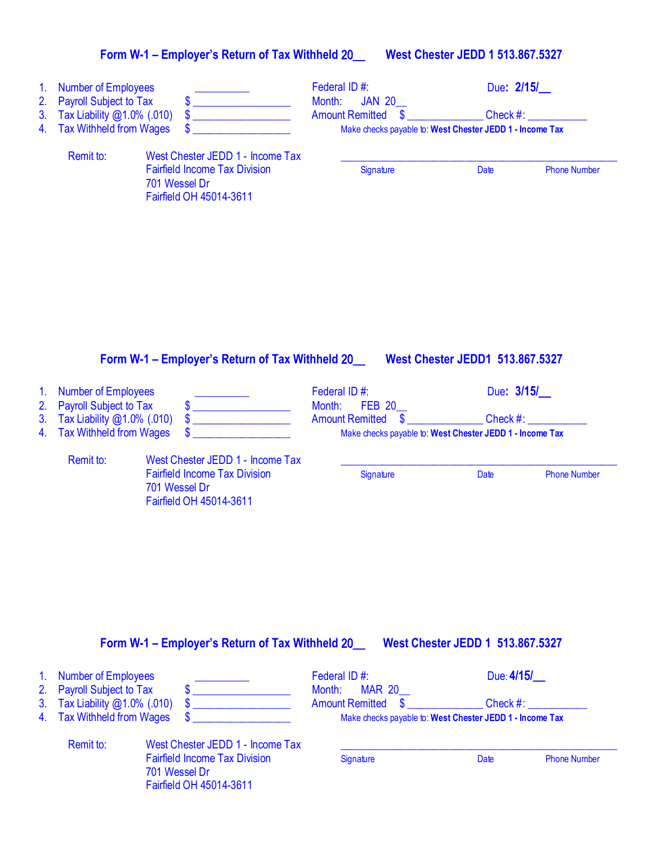## **Form W-1 – Employer's Return of Tax Withheld** 20\_\_ **West Chester JEDD 1 513.867.5327**

| 1 <sub>1</sub><br>2.<br>3.<br>4. | <b>Number of Employees</b><br><b>Payroll Subject to Tax</b><br>Tax Liability @1.0% (.010)<br><b>Tax Withheld from Wages</b> | \$<br>\$<br>\$                                                                                                       | Federal ID#:<br>Month:<br><b>JAN 20</b><br><b>Amount Remitted</b><br>\$ | Due: 2/15/<br>Check #:<br>Make checks payable to: West Chester JEDD 1 - Income Tax |
|----------------------------------|-----------------------------------------------------------------------------------------------------------------------------|----------------------------------------------------------------------------------------------------------------------|-------------------------------------------------------------------------|------------------------------------------------------------------------------------|
|                                  | Remit to:                                                                                                                   | West Chester JEDD 1 - Income Tax<br><b>Fairfield Income Tax Division</b><br>701 Wessel Dr<br>Fairfield OH 45014-3611 | Signature                                                               | Date<br><b>Phone Number</b>                                                        |
| 1.                               | <b>Number of Employees</b>                                                                                                  | Form W-1 - Employer's Return of Tax Withheld 20                                                                      | Federal ID#:                                                            | <b>West Chester JEDD1 513.867.5327</b><br>Due: 3/15/                               |
| 2.<br>3.<br>4.                   | <b>Payroll Subject to Tax</b><br>Tax Liability @1.0% (.010)<br><b>Tax Withheld from Wages</b>                               | \$<br>\$<br>\$                                                                                                       | Month:<br><b>FEB 20</b><br>\$<br><b>Amount Remitted</b>                 | Check #:<br>Make checks payable to: West Chester JEDD 1 - Income Tax               |
|                                  | Remit to:                                                                                                                   | West Chester JEDD 1 - Income Tax<br><b>Fairfield Income Tax Division</b><br>701 Wessel Dr<br>Fairfield OH 45014-3611 | Signature                                                               | <b>Phone Number</b><br>Date                                                        |
| 1.<br>2.<br>3 <sub>1</sub><br>4. | <b>Number of Employees</b><br><b>Payroll Subject to Tax</b><br>Tax Liability @1.0% (.010)<br><b>Tax Withheld from Wages</b> | Form W-1 - Employer's Return of Tax Withheld 20___ West Chester JEDD 1 513.867.5327                                  | Federal ID#:<br>Month:<br><b>MAR 20</b><br><b>Amount Remitted</b><br>\$ | Due: 4/15/<br>Check #:<br>Make checks payable to: West Chester JEDD 1 - Income Tax |
|                                  | Remit to:                                                                                                                   | West Chester JEDD 1 - Income Tax<br><b>Fairfield Income Tax Division</b><br>701 Wessel Dr                            | Signature                                                               | Date<br><b>Phone Number</b>                                                        |

Fairfield OH 45014-3611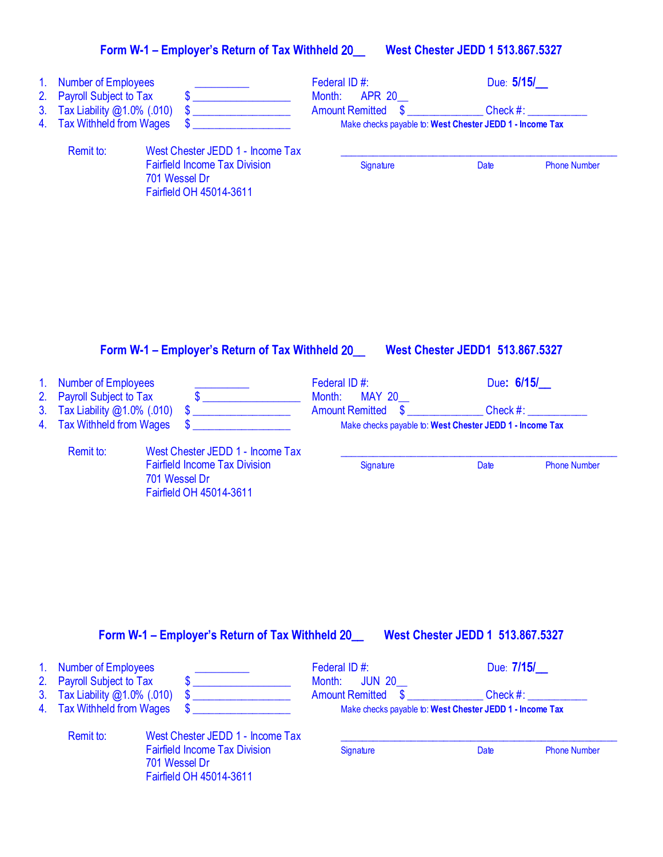## **Form W-1 – Employer's Return of Tax Withheld** 20\_\_ **West Chester JEDD 1 513.867.5327**

| Federal ID#:<br>Due: 5/15/<br><b>Number of Employees</b><br><b>Payroll Subject to Tax</b><br>Month:<br><b>APR 20</b><br>$\boldsymbol{\mathsf{s}}$<br>Tax Liability @1.0% (.010)<br>\$<br>Check #:<br><b>Amount Remitted</b><br>\$<br><b>Tax Withheld from Wages</b><br>Make checks payable to: West Chester JEDD 1 - Income Tax<br>Remit to:<br>West Chester JEDD 1 - Income Tax<br><b>Fairfield Income Tax Division</b><br>Signature<br>Date<br>701 Wessel Dr<br>Fairfield OH 45014-3611<br>Form W-1 - Employer's Return of Tax Withheld 20__ West Chester JEDD1 513.867.5327<br>Due: 6/15/<br><b>Number of Employees</b><br>Federal ID#:<br>$\begin{picture}(20,10) \put(0,0){\line(1,0){10}} \put(15,0){\line(1,0){10}} \put(15,0){\line(1,0){10}} \put(15,0){\line(1,0){10}} \put(15,0){\line(1,0){10}} \put(15,0){\line(1,0){10}} \put(15,0){\line(1,0){10}} \put(15,0){\line(1,0){10}} \put(15,0){\line(1,0){10}} \put(15,0){\line(1,0){10}} \put(15,0){\line(1,0){10}} \put(15,0){\line(1$<br><b>Payroll Subject to Tax</b><br>Month:<br><b>MAY 20</b><br>$\frac{1}{2}$ Check #:<br>Tax Liability @1.0% (.010)<br>$\boldsymbol{\$}$<br><b>Amount Remitted</b><br><u> 1980 - Jan Stein Stein Stein Stein Stein Stein Stein Stein Stein Stein Stein Stein Stein Stein Stein Stein S</u><br><b>Tax Withheld from Wages</b><br>\$<br>4.<br>Make checks payable to: West Chester JEDD 1 - Income Tax<br>Remit to:<br>West Chester JEDD 1 - Income Tax<br><b>Fairfield Income Tax Division</b><br>Signature<br>Date<br>701 Wessel Dr<br>Fairfield OH 45014-3611<br>Form W-1 - Employer's Return of Tax Withheld 20_<br>West Chester JEDD 1 513.867.5327<br>Due: 7/15/<br><b>Number of Employees</b><br>Federal ID#:<br><b>Payroll Subject to Tax</b><br>Month:<br><b>JUN 20</b><br>\$<br>Tax Liability @1.0% (.010)<br>Check #:<br><b>Amount Remitted</b><br><b>Tax Withheld from Wages</b><br>Make checks payable to: West Chester JEDD 1 - Income Tax |                |  |  |                     |
|----------------------------------------------------------------------------------------------------------------------------------------------------------------------------------------------------------------------------------------------------------------------------------------------------------------------------------------------------------------------------------------------------------------------------------------------------------------------------------------------------------------------------------------------------------------------------------------------------------------------------------------------------------------------------------------------------------------------------------------------------------------------------------------------------------------------------------------------------------------------------------------------------------------------------------------------------------------------------------------------------------------------------------------------------------------------------------------------------------------------------------------------------------------------------------------------------------------------------------------------------------------------------------------------------------------------------------------------------------------------------------------------------------------------------------------------------------------------------------------------------------------------------------------------------------------------------------------------------------------------------------------------------------------------------------------------------------------------------------------------------------------------------------------------------------------------------------------------------------------------------------------------------------------------------------------------------------|----------------|--|--|---------------------|
|                                                                                                                                                                                                                                                                                                                                                                                                                                                                                                                                                                                                                                                                                                                                                                                                                                                                                                                                                                                                                                                                                                                                                                                                                                                                                                                                                                                                                                                                                                                                                                                                                                                                                                                                                                                                                                                                                                                                                          | 1.             |  |  |                     |
|                                                                                                                                                                                                                                                                                                                                                                                                                                                                                                                                                                                                                                                                                                                                                                                                                                                                                                                                                                                                                                                                                                                                                                                                                                                                                                                                                                                                                                                                                                                                                                                                                                                                                                                                                                                                                                                                                                                                                          | 2.             |  |  |                     |
|                                                                                                                                                                                                                                                                                                                                                                                                                                                                                                                                                                                                                                                                                                                                                                                                                                                                                                                                                                                                                                                                                                                                                                                                                                                                                                                                                                                                                                                                                                                                                                                                                                                                                                                                                                                                                                                                                                                                                          | 3.             |  |  |                     |
|                                                                                                                                                                                                                                                                                                                                                                                                                                                                                                                                                                                                                                                                                                                                                                                                                                                                                                                                                                                                                                                                                                                                                                                                                                                                                                                                                                                                                                                                                                                                                                                                                                                                                                                                                                                                                                                                                                                                                          | 4.             |  |  |                     |
|                                                                                                                                                                                                                                                                                                                                                                                                                                                                                                                                                                                                                                                                                                                                                                                                                                                                                                                                                                                                                                                                                                                                                                                                                                                                                                                                                                                                                                                                                                                                                                                                                                                                                                                                                                                                                                                                                                                                                          |                |  |  |                     |
|                                                                                                                                                                                                                                                                                                                                                                                                                                                                                                                                                                                                                                                                                                                                                                                                                                                                                                                                                                                                                                                                                                                                                                                                                                                                                                                                                                                                                                                                                                                                                                                                                                                                                                                                                                                                                                                                                                                                                          |                |  |  | <b>Phone Number</b> |
|                                                                                                                                                                                                                                                                                                                                                                                                                                                                                                                                                                                                                                                                                                                                                                                                                                                                                                                                                                                                                                                                                                                                                                                                                                                                                                                                                                                                                                                                                                                                                                                                                                                                                                                                                                                                                                                                                                                                                          |                |  |  |                     |
|                                                                                                                                                                                                                                                                                                                                                                                                                                                                                                                                                                                                                                                                                                                                                                                                                                                                                                                                                                                                                                                                                                                                                                                                                                                                                                                                                                                                                                                                                                                                                                                                                                                                                                                                                                                                                                                                                                                                                          |                |  |  |                     |
|                                                                                                                                                                                                                                                                                                                                                                                                                                                                                                                                                                                                                                                                                                                                                                                                                                                                                                                                                                                                                                                                                                                                                                                                                                                                                                                                                                                                                                                                                                                                                                                                                                                                                                                                                                                                                                                                                                                                                          |                |  |  |                     |
|                                                                                                                                                                                                                                                                                                                                                                                                                                                                                                                                                                                                                                                                                                                                                                                                                                                                                                                                                                                                                                                                                                                                                                                                                                                                                                                                                                                                                                                                                                                                                                                                                                                                                                                                                                                                                                                                                                                                                          |                |  |  |                     |
|                                                                                                                                                                                                                                                                                                                                                                                                                                                                                                                                                                                                                                                                                                                                                                                                                                                                                                                                                                                                                                                                                                                                                                                                                                                                                                                                                                                                                                                                                                                                                                                                                                                                                                                                                                                                                                                                                                                                                          |                |  |  |                     |
|                                                                                                                                                                                                                                                                                                                                                                                                                                                                                                                                                                                                                                                                                                                                                                                                                                                                                                                                                                                                                                                                                                                                                                                                                                                                                                                                                                                                                                                                                                                                                                                                                                                                                                                                                                                                                                                                                                                                                          |                |  |  |                     |
|                                                                                                                                                                                                                                                                                                                                                                                                                                                                                                                                                                                                                                                                                                                                                                                                                                                                                                                                                                                                                                                                                                                                                                                                                                                                                                                                                                                                                                                                                                                                                                                                                                                                                                                                                                                                                                                                                                                                                          |                |  |  |                     |
|                                                                                                                                                                                                                                                                                                                                                                                                                                                                                                                                                                                                                                                                                                                                                                                                                                                                                                                                                                                                                                                                                                                                                                                                                                                                                                                                                                                                                                                                                                                                                                                                                                                                                                                                                                                                                                                                                                                                                          |                |  |  |                     |
|                                                                                                                                                                                                                                                                                                                                                                                                                                                                                                                                                                                                                                                                                                                                                                                                                                                                                                                                                                                                                                                                                                                                                                                                                                                                                                                                                                                                                                                                                                                                                                                                                                                                                                                                                                                                                                                                                                                                                          |                |  |  |                     |
|                                                                                                                                                                                                                                                                                                                                                                                                                                                                                                                                                                                                                                                                                                                                                                                                                                                                                                                                                                                                                                                                                                                                                                                                                                                                                                                                                                                                                                                                                                                                                                                                                                                                                                                                                                                                                                                                                                                                                          |                |  |  |                     |
|                                                                                                                                                                                                                                                                                                                                                                                                                                                                                                                                                                                                                                                                                                                                                                                                                                                                                                                                                                                                                                                                                                                                                                                                                                                                                                                                                                                                                                                                                                                                                                                                                                                                                                                                                                                                                                                                                                                                                          |                |  |  |                     |
|                                                                                                                                                                                                                                                                                                                                                                                                                                                                                                                                                                                                                                                                                                                                                                                                                                                                                                                                                                                                                                                                                                                                                                                                                                                                                                                                                                                                                                                                                                                                                                                                                                                                                                                                                                                                                                                                                                                                                          | 1 <sub>1</sub> |  |  |                     |
|                                                                                                                                                                                                                                                                                                                                                                                                                                                                                                                                                                                                                                                                                                                                                                                                                                                                                                                                                                                                                                                                                                                                                                                                                                                                                                                                                                                                                                                                                                                                                                                                                                                                                                                                                                                                                                                                                                                                                          | 2.             |  |  |                     |
|                                                                                                                                                                                                                                                                                                                                                                                                                                                                                                                                                                                                                                                                                                                                                                                                                                                                                                                                                                                                                                                                                                                                                                                                                                                                                                                                                                                                                                                                                                                                                                                                                                                                                                                                                                                                                                                                                                                                                          | 3.             |  |  |                     |
|                                                                                                                                                                                                                                                                                                                                                                                                                                                                                                                                                                                                                                                                                                                                                                                                                                                                                                                                                                                                                                                                                                                                                                                                                                                                                                                                                                                                                                                                                                                                                                                                                                                                                                                                                                                                                                                                                                                                                          |                |  |  |                     |
|                                                                                                                                                                                                                                                                                                                                                                                                                                                                                                                                                                                                                                                                                                                                                                                                                                                                                                                                                                                                                                                                                                                                                                                                                                                                                                                                                                                                                                                                                                                                                                                                                                                                                                                                                                                                                                                                                                                                                          |                |  |  |                     |
|                                                                                                                                                                                                                                                                                                                                                                                                                                                                                                                                                                                                                                                                                                                                                                                                                                                                                                                                                                                                                                                                                                                                                                                                                                                                                                                                                                                                                                                                                                                                                                                                                                                                                                                                                                                                                                                                                                                                                          |                |  |  | <b>Phone Number</b> |
|                                                                                                                                                                                                                                                                                                                                                                                                                                                                                                                                                                                                                                                                                                                                                                                                                                                                                                                                                                                                                                                                                                                                                                                                                                                                                                                                                                                                                                                                                                                                                                                                                                                                                                                                                                                                                                                                                                                                                          |                |  |  |                     |
|                                                                                                                                                                                                                                                                                                                                                                                                                                                                                                                                                                                                                                                                                                                                                                                                                                                                                                                                                                                                                                                                                                                                                                                                                                                                                                                                                                                                                                                                                                                                                                                                                                                                                                                                                                                                                                                                                                                                                          |                |  |  |                     |
|                                                                                                                                                                                                                                                                                                                                                                                                                                                                                                                                                                                                                                                                                                                                                                                                                                                                                                                                                                                                                                                                                                                                                                                                                                                                                                                                                                                                                                                                                                                                                                                                                                                                                                                                                                                                                                                                                                                                                          |                |  |  |                     |
|                                                                                                                                                                                                                                                                                                                                                                                                                                                                                                                                                                                                                                                                                                                                                                                                                                                                                                                                                                                                                                                                                                                                                                                                                                                                                                                                                                                                                                                                                                                                                                                                                                                                                                                                                                                                                                                                                                                                                          |                |  |  |                     |
|                                                                                                                                                                                                                                                                                                                                                                                                                                                                                                                                                                                                                                                                                                                                                                                                                                                                                                                                                                                                                                                                                                                                                                                                                                                                                                                                                                                                                                                                                                                                                                                                                                                                                                                                                                                                                                                                                                                                                          |                |  |  |                     |
|                                                                                                                                                                                                                                                                                                                                                                                                                                                                                                                                                                                                                                                                                                                                                                                                                                                                                                                                                                                                                                                                                                                                                                                                                                                                                                                                                                                                                                                                                                                                                                                                                                                                                                                                                                                                                                                                                                                                                          |                |  |  |                     |
|                                                                                                                                                                                                                                                                                                                                                                                                                                                                                                                                                                                                                                                                                                                                                                                                                                                                                                                                                                                                                                                                                                                                                                                                                                                                                                                                                                                                                                                                                                                                                                                                                                                                                                                                                                                                                                                                                                                                                          |                |  |  |                     |
|                                                                                                                                                                                                                                                                                                                                                                                                                                                                                                                                                                                                                                                                                                                                                                                                                                                                                                                                                                                                                                                                                                                                                                                                                                                                                                                                                                                                                                                                                                                                                                                                                                                                                                                                                                                                                                                                                                                                                          |                |  |  |                     |
|                                                                                                                                                                                                                                                                                                                                                                                                                                                                                                                                                                                                                                                                                                                                                                                                                                                                                                                                                                                                                                                                                                                                                                                                                                                                                                                                                                                                                                                                                                                                                                                                                                                                                                                                                                                                                                                                                                                                                          |                |  |  |                     |
|                                                                                                                                                                                                                                                                                                                                                                                                                                                                                                                                                                                                                                                                                                                                                                                                                                                                                                                                                                                                                                                                                                                                                                                                                                                                                                                                                                                                                                                                                                                                                                                                                                                                                                                                                                                                                                                                                                                                                          |                |  |  |                     |
|                                                                                                                                                                                                                                                                                                                                                                                                                                                                                                                                                                                                                                                                                                                                                                                                                                                                                                                                                                                                                                                                                                                                                                                                                                                                                                                                                                                                                                                                                                                                                                                                                                                                                                                                                                                                                                                                                                                                                          |                |  |  |                     |
|                                                                                                                                                                                                                                                                                                                                                                                                                                                                                                                                                                                                                                                                                                                                                                                                                                                                                                                                                                                                                                                                                                                                                                                                                                                                                                                                                                                                                                                                                                                                                                                                                                                                                                                                                                                                                                                                                                                                                          | $\mathbf{1}$ . |  |  |                     |
|                                                                                                                                                                                                                                                                                                                                                                                                                                                                                                                                                                                                                                                                                                                                                                                                                                                                                                                                                                                                                                                                                                                                                                                                                                                                                                                                                                                                                                                                                                                                                                                                                                                                                                                                                                                                                                                                                                                                                          | 2.             |  |  |                     |
|                                                                                                                                                                                                                                                                                                                                                                                                                                                                                                                                                                                                                                                                                                                                                                                                                                                                                                                                                                                                                                                                                                                                                                                                                                                                                                                                                                                                                                                                                                                                                                                                                                                                                                                                                                                                                                                                                                                                                          | 3.<br>4.       |  |  |                     |

| Remit to: | West Chester JEDD 1 - Income Tax                                                        |           |             |                     |
|-----------|-----------------------------------------------------------------------------------------|-----------|-------------|---------------------|
|           | <b>Fairfield Income Tax Division</b><br>701 Wessel Dr<br><b>Fairfield OH 45014-3611</b> | Signature | <b>Date</b> | <b>Phone Number</b> |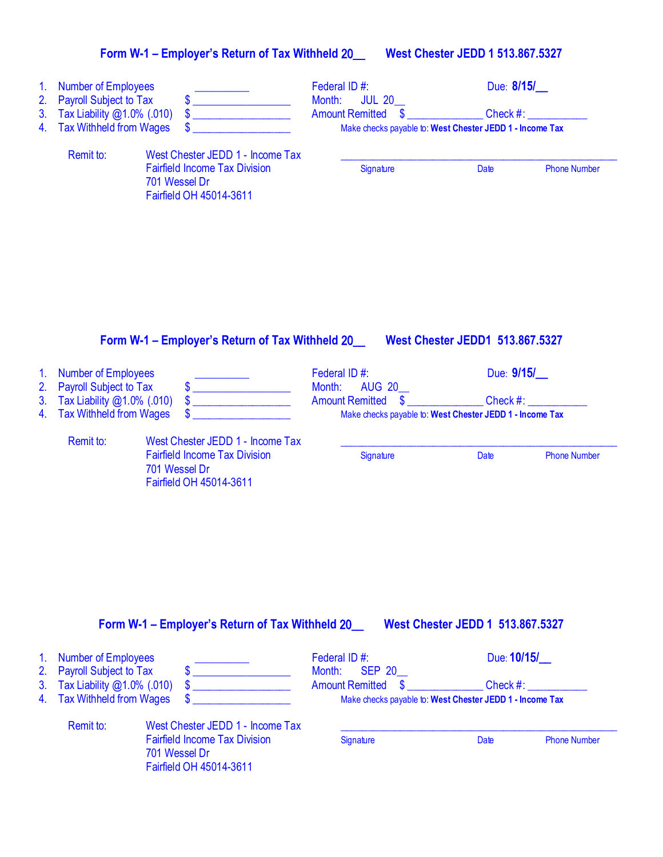| Form W-1 - Employer's Return of Tax Withheld 20 | <b>West Chester JEDD 1 513.867.5327</b> |
|-------------------------------------------------|-----------------------------------------|
|-------------------------------------------------|-----------------------------------------|

| 1.<br>2.<br>3.<br>4. | <b>Number of Employees</b><br><b>Payroll Subject to Tax</b><br>Tax Liability @1.0% (.010)<br><b>Tax Withheld from Wages</b> | \$                                                                                                                                                                                                                                   | Federal ID#:<br>Month:<br><b>JUL 20</b><br>$\boldsymbol{\$}$<br><b>Amount Remitted</b> | Due: 8/15/<br>Check #:<br>Make checks payable to: West Chester JEDD 1 - Income Tax |                     |
|----------------------|-----------------------------------------------------------------------------------------------------------------------------|--------------------------------------------------------------------------------------------------------------------------------------------------------------------------------------------------------------------------------------|----------------------------------------------------------------------------------------|------------------------------------------------------------------------------------|---------------------|
|                      | Remit to:                                                                                                                   | West Chester JEDD 1 - Income Tax<br><b>Fairfield Income Tax Division</b><br>701 Wessel Dr<br>Fairfield OH 45014-3611                                                                                                                 | Signature                                                                              | Date                                                                               | <b>Phone Number</b> |
|                      |                                                                                                                             | Form W-1 - Employer's Return of Tax Withheld 20                                                                                                                                                                                      |                                                                                        | <b>West Chester JEDD1 513.867.5327</b>                                             |                     |
| 1.                   | <b>Number of Employees</b>                                                                                                  |                                                                                                                                                                                                                                      | Federal ID#:<br><b>AUG 20</b>                                                          | Due: 9/15/                                                                         |                     |
| 2.<br>3.<br>4.       | <b>Payroll Subject to Tax</b><br>Tax Liability @1.0% (.010)<br><b>Tax Withheld from Wages</b>                               | \$<br>\$                                                                                                                                                                                                                             | Month:<br><b>Amount Remitted</b><br>$\mathbf{\$}$                                      | Check $#$ :<br>Make checks payable to: West Chester JEDD 1 - Income Tax            |                     |
|                      | Remit to:                                                                                                                   | West Chester JEDD 1 - Income Tax                                                                                                                                                                                                     |                                                                                        |                                                                                    |                     |
|                      |                                                                                                                             | <b>Fairfield Income Tax Division</b><br>701 Wessel Dr<br>Fairfield OH 45014-3611                                                                                                                                                     | Signature                                                                              | Date                                                                               | <b>Phone Number</b> |
|                      |                                                                                                                             | Form W-1 - Employer's Return of Tax Withheld 20____ West Chester JEDD 1 513.867.5327                                                                                                                                                 |                                                                                        |                                                                                    |                     |
| 1 <sub>1</sub>       | <b>Number of Employees</b>                                                                                                  |                                                                                                                                                                                                                                      | Federal ID#:                                                                           | Due: 10/15/                                                                        |                     |
| 2.<br>3 <sub>1</sub> | <b>Payroll Subject to Tax</b><br>Tax Liability @1.0% (.010)                                                                 | <u> 1986 - Jan Stein Stein Stein Stein Stein Stein Stein Stein Stein Stein Stein Stein Stein Stein Stein Stein Stein Stein Stein Stein Stein Stein Stein Stein Stein Stein Stein Stein Stein Stein Stein Stein Stein Stein Stein</u> | Month:<br><b>SEP 20</b><br><b>Amount Remitted</b>                                      | $\frac{1}{2}$ Check #:                                                             |                     |
| 4.                   | <b>Tax Withheld from Wages</b>                                                                                              |                                                                                                                                                                                                                                      |                                                                                        | Make checks payable to: West Chester JEDD 1 - Income Tax                           |                     |
|                      | Remit to:                                                                                                                   | West Chester JEDD 1 - Income Tax<br><b>Fairfield Income Tax Division</b><br>701 Wessel Dr<br>Fairfield OH 45014-3611                                                                                                                 | Signature                                                                              | Date                                                                               | <b>Phone Number</b> |